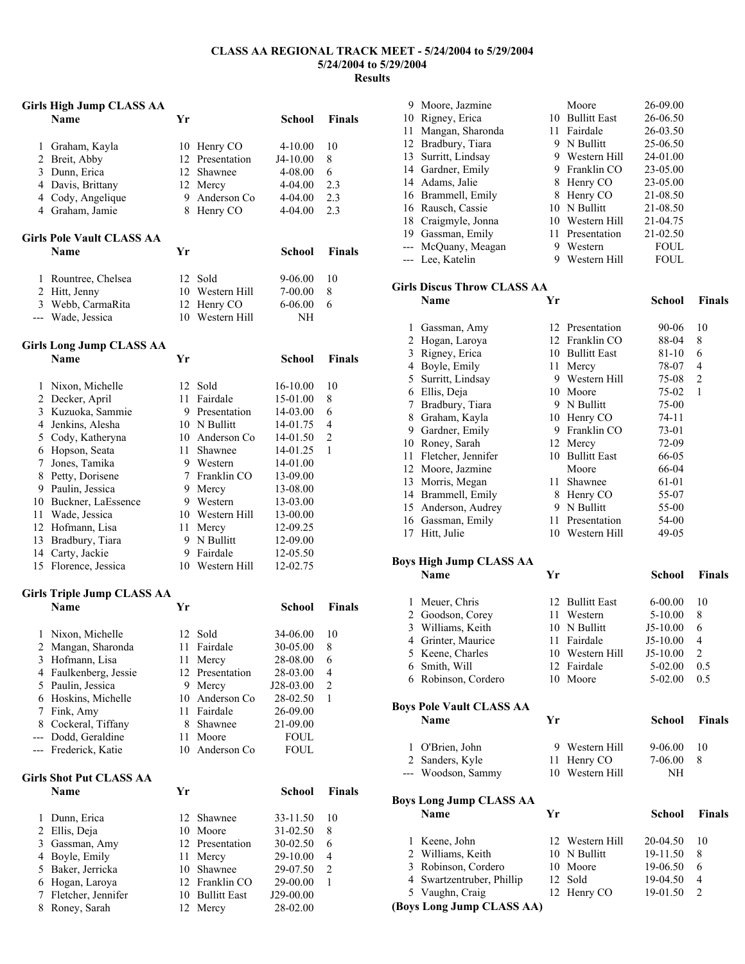## **CLASS AA REGIONAL TRACK MEET - 5/24/2004 to 5/29/2004 5/24/2004 to 5/29/2004 Results**

|                | <b>Girls High Jump CLASS AA</b>   |    |                     |               |                         |
|----------------|-----------------------------------|----|---------------------|---------------|-------------------------|
|                | <b>Name</b>                       | Yr |                     | School        | <b>Finals</b>           |
| $\mathbf{1}$   | Graham, Kayla                     |    | 10 Henry CO         | $4 - 10.00$   | 10                      |
|                | 2 Breit, Abby                     |    | 12 Presentation     | J4-10.00      | 8                       |
|                | 3 Dunn, Erica                     |    | 12 Shawnee          | 4-08.00       | 6                       |
|                | 4 Davis, Brittany                 |    | 12 Mercy            | 4-04.00       | 2.3                     |
|                | 4 Cody, Angelique                 |    | 9 Anderson Co       | 4-04.00       | 2.3                     |
|                | 4 Graham, Jamie                   | 8  | Henry CO            | 4-04.00       | 2.3                     |
|                | <b>Girls Pole Vault CLASS AA</b>  |    |                     |               |                         |
|                | Name                              | Yr |                     | <b>School</b> | <b>Finals</b>           |
|                | 1 Rountree, Chelsea               |    | 12 Sold             | 9-06.00       | 10                      |
|                | 2 Hitt, Jenny                     |    | 10 Western Hill     | 7-00.00       | 8                       |
|                | 3 Webb, CarmaRita                 |    | 12 Henry CO         | $6 - 06.00$   | 6                       |
|                | --- Wade, Jessica                 |    | 10 Western Hill     | NΗ            |                         |
|                | <b>Girls Long Jump CLASS AA</b>   |    |                     |               |                         |
|                | <b>Name</b>                       | Yr |                     | School        | <b>Finals</b>           |
|                | 1 Nixon, Michelle                 | 12 | Sold                | 16-10.00      | 10                      |
|                | 2 Decker, April                   |    | 11 Fairdale         | 15-01.00      | 8                       |
|                | 3 Kuzuoka, Sammie                 |    | 9 Presentation      | 14-03.00      | 6                       |
|                | 4 Jenkins, Alesha                 |    | 10 N Bullitt        | 14-01.75      | 4                       |
|                | 5 Cody, Katheryna                 |    | 10 Anderson Co      | 14-01.50      | 2                       |
|                | 6 Hopson, Seata                   |    | 11 Shawnee          | 14-01.25      | 1                       |
|                | 7 Jones, Tamika                   |    | 9 Western           | 14-01.00      |                         |
|                | 8 Petty, Dorisene                 |    | 7 Franklin CO       | 13-09.00      |                         |
|                | 9 Paulin, Jessica                 |    | 9 Mercy             | 13-08.00      |                         |
|                | 10 Buckner, LaEssence             |    | 9 Western           | 13-03.00      |                         |
|                | 11 Wade, Jessica                  |    | 10 Western Hill     | 13-00.00      |                         |
|                | 12 Hofmann, Lisa                  |    | 11 Mercy            | 12-09.25      |                         |
|                | 13 Bradbury, Tiara                |    | 9 N Bullitt         | 12-09.00      |                         |
|                | 14 Carty, Jackie                  |    | 9 Fairdale          | 12-05.50      |                         |
| 15             | Florence, Jessica                 |    | 10 Western Hill     | 12-02.75      |                         |
|                | <b>Girls Triple Jump CLASS AA</b> |    |                     |               |                         |
|                | <b>Name</b>                       | Yr |                     | School        | <b>Finals</b>           |
| $\mathbf{1}$   | Nixon, Michelle                   |    | 12 Sold             | 34-06.00      | 10                      |
| 2              | Mangan, Sharonda                  | 11 | Fairdale            | 30-05.00      | 8                       |
| 3              | Hofmann, Lisa                     | 11 | Mercy               | 28-08.00      | 6                       |
| $\overline{4}$ | Faulkenberg, Jessie               |    | 12 Presentation     | 28-03.00      | 4                       |
| 5              | Paulin, Jessica                   | 9  | Mercy               | J28-03.00     | $\overline{\mathbf{c}}$ |
| 6              | Hoskins, Michelle                 |    | 10 Anderson Co      | 28-02.50      | $\mathbf{1}$            |
| 7              | Fink, Amy                         |    | 11 Fairdale         | 26-09.00      |                         |
| 8              | Cockeral, Tiffany                 | 8  | Shawnee             | 21-09.00      |                         |
| ---            | Dodd, Geraldine                   | 11 | Moore               | <b>FOUL</b>   |                         |
| ---            | Frederick, Katie                  | 10 | Anderson Co         | <b>FOUL</b>   |                         |
|                | <b>Girls Shot Put CLASS AA</b>    |    |                     |               |                         |
|                | <b>Name</b>                       | Yr |                     | <b>School</b> | <b>Finals</b>           |
| $\mathbf{1}$   | Dunn, Erica                       | 12 | Shawnee             | 33-11.50      | 10                      |
| 2              | Ellis, Deja                       | 10 | Moore               | 31-02.50      | 8                       |
| 3              | Gassman, Amy                      |    | 12 Presentation     | 30-02.50      | 6                       |
| 4              | Boyle, Emily                      | 11 | Mercy               | 29-10.00      | 4                       |
| 5              | Baker, Jerricka                   | 10 | Shawnee             | 29-07.50      | 2                       |
| 6              | Hogan, Laroya                     | 12 | Franklin CO         | 29-00.00      | 1                       |
| 7              | Fletcher, Jennifer                | 10 | <b>Bullitt East</b> | J29-00.00     |                         |
| 8              | Roney, Sarah                      | 12 | Mercy               | 28-02.00      |                         |

|    | 9 Moore, Jazmine    |    | Moore           | 26-09.00    |  |
|----|---------------------|----|-----------------|-------------|--|
|    | 10 Rigney, Erica    |    | 10 Bullitt East | 26-06.50    |  |
| 11 | Mangan, Sharonda    | 11 | Fairdale        | 26-03.50    |  |
|    | 12 Bradbury, Tiara  |    | 9 N Bullitt     | 25-06.50    |  |
|    | 13 Surritt, Lindsay | 9. | Western Hill    | 24-01.00    |  |
|    | 14 Gardner, Emily   |    | 9 Franklin CO   | 23-05.00    |  |
|    | 14 Adams, Jalie     |    | 8 Henry CO      | 23-05.00    |  |
|    | 16 Brammell, Emily  | 8. | Henry CO        | 21-08.50    |  |
|    | 16 Rausch, Cassie   |    | 10 N Bullitt    | 21-08.50    |  |
|    | 18 Craigmyle, Jonna |    | 10 Western Hill | 21-04.75    |  |
|    | 19 Gassman, Emily   |    | 11 Presentation | 21-02.50    |  |
|    | --- McQuany, Meagan | 9  | Western         | <b>FOUL</b> |  |
|    | --- Lee, Katelin    | 9  | Western Hill    | <b>FOUL</b> |  |
|    |                     |    |                 |             |  |

# **Girls Discus Throw CLASS AA**

|    | Name               | Yr |                     | School    | <b>Finals</b>  |
|----|--------------------|----|---------------------|-----------|----------------|
| 1  | Gassman, Amy       | 12 | Presentation        | 90-06     | 10             |
| 2  | Hogan, Laroya      | 12 | Franklin CO         | 88-04     | 8              |
| 3  | Rigney, Erica      | 10 | <b>Bullitt East</b> | 81-10     | 6              |
| 4  | Boyle, Emily       | 11 | Mercy               | 78-07     | 4              |
| 5  | Surritt, Lindsay   | 9  | Western Hill        | 75-08     | $\overline{2}$ |
| 6  | Ellis, Deja        | 10 | Moore               | 75-02     | 1              |
| 7  | Bradbury, Tiara    | 9  | N Bullitt           | 75-00     |                |
| 8  | Graham, Kayla      | 10 | Henry CO            | $74 - 11$ |                |
| 9  | Gardner, Emily     | 9  | Franklin CO         | 73-01     |                |
| 10 | Roney, Sarah       |    | 12 Mercy            | 72-09     |                |
| 11 | Fletcher, Jennifer | 10 | <b>Bullitt East</b> | 66-05     |                |
| 12 | Moore, Jazmine     |    | Moore               | 66-04     |                |
| 13 | Morris, Megan      | 11 | Shawnee             | 61-01     |                |
| 14 | Brammell, Emily    | 8  | Henry CO            | 55-07     |                |
| 15 | Anderson, Audrey   | 9  | N Bullitt           | 55-00     |                |
| 16 | Gassman, Emily     | 11 | Presentation        | 54-00     |                |
| 17 | Hitt, Julie        | 10 | Western Hill        | 49-05     |                |

# **Boys High Jump CLASS AA**

| <b>Finals</b> |
|---------------|
| 10            |
|               |
|               |
|               |
|               |
| 0.5           |
| 0.5           |
|               |

#### **Boys Pole Vault CLASS AA Name Yr School Finals**

| .                  |                 |         |    |
|--------------------|-----------------|---------|----|
| 1 O'Brien, John    | 9 Western Hill  | 9-06.00 | 10 |
| 2 Sanders, Kyle    | 11 Henry CO     | 7-06.00 | 8  |
| --- Woodson, Sammy | 10 Western Hill | NH      |    |
|                    |                 |         |    |

# **Boys Long Jump CLASS AA**

|   | BOVS LONG JUMP CLASS AA<br><b>Name</b> | Yr |                 | School     | <b>Finals</b>  |
|---|----------------------------------------|----|-----------------|------------|----------------|
| L | Keene, John                            |    | 12 Western Hill | $20-04.50$ | 10             |
|   | 2 Williams, Keith                      |    | 10 N Bullitt    | 19-11.50   | 8              |
|   | 3 Robinson, Cordero                    |    | 10 Moore        | 19-06.50   | 6              |
|   | 4 Swartzentruber, Phillip              |    | 12 Sold         | 19-04.50   | $\overline{4}$ |
|   | 5 Vaughn, Craig                        |    | 12 Henry CO     | 19-01.50   | $\mathcal{L}$  |
|   | (Boys Long Jump CLASS AA)              |    |                 |            |                |